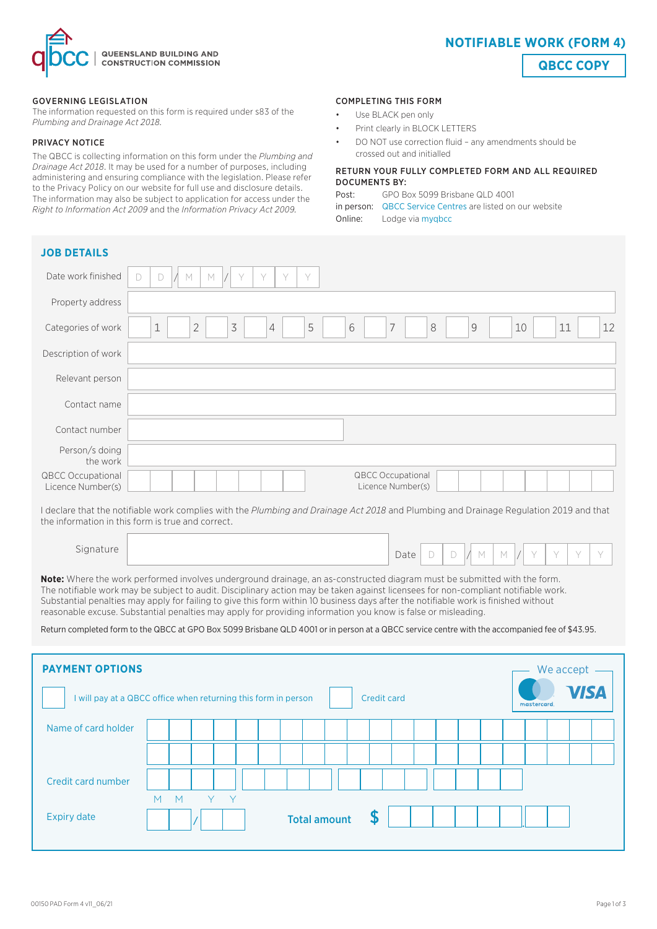

### GOVERNING LEGISLATION

The information requested on this form is required under s83 of the *Plumbing and Drainage Act 2018.* 

### PRIVACY NOTICE

The QBCC is collecting information on this form under the *Plumbing and Drainage Act 2018*. It may be used for a number of purposes, including administering and ensuring compliance with the legislation. Please refer to the Privacy Policy on our website for full use and disclosure details. The information may also be subject to application for access under the *Right to Information Act 2009* and the *Information Privacy Act 2009.*

#### COMPLETING THIS FORM

- Use BLACK pen only
- Print clearly in BLOCK LETTERS
- DO NOT use correction fluid any amendments should be crossed out and initialled

### RETURN YOUR FULLY COMPLETED FORM AND ALL REQUIRED DOCUMENTS BY:

| Post: | GPO Box 5099 Brisbane QLD 4001                            |
|-------|-----------------------------------------------------------|
|       | in person: QBCC Service Centres are listed on our website |
|       | <b>Online:</b> Lodge via mygbcc                           |

| <b>JOB DETAILS</b>                            |                                                                                                                                                                                    |
|-----------------------------------------------|------------------------------------------------------------------------------------------------------------------------------------------------------------------------------------|
| Date work finished                            | $\vee$<br>$\vee$<br>Y<br>$\mathbb M$<br>D<br>M                                                                                                                                     |
| Property address                              |                                                                                                                                                                                    |
| Categories of work                            | $\preceq$<br>$\overline{2}$<br>5<br>6<br>$\overline{7}$<br>$\,8\,$<br>$\mathbf 1$<br>$\mathcal{G}% _{M_{1},M_{2}}^{\alpha,\beta}(\varepsilon)$<br>11<br>12<br>10<br>$\overline{4}$ |
| Description of work                           |                                                                                                                                                                                    |
| Relevant person                               |                                                                                                                                                                                    |
| Contact name                                  |                                                                                                                                                                                    |
| Contact number                                |                                                                                                                                                                                    |
| Person/s doing<br>the work                    |                                                                                                                                                                                    |
| <b>QBCC Occupational</b><br>Licence Number(s) | QBCC Occupational<br>Licence Number(s)                                                                                                                                             |
|                                               | Lakehout that the patifickle week complies with the Dumbing and Drainage Act 2010 and Dumbing and Drainage Dequation 2010 and that                                                 |

I declare that the notifiable work complies with the *Plumbing and Drainage Act 2018* and Plumbing and Drainage Regulation 2019 and that the information in this form is true and correct.

Signature Date  $D$   $D$   $M$   $M$   $N$   $Y$   $Y$   $Y$ 

**Note:** Where the work performed involves underground drainage, an as-constructed diagram must be submitted with the form. The notifiable work may be subject to audit. Disciplinary action may be taken against licensees for non-compliant notifiable work. Substantial penalties may apply for failing to give this form within 10 business days after the notifiable work is finished without reasonable excuse. Substantial penalties may apply for providing information you know is false or misleading.

Return completed form to the QBCC at GPO Box 5099 Brisbane QLD 4001 or in person at a QBCC service centre with the accompanied fee of \$43.95.

| <b>PAYMENT OPTIONS</b><br>I will pay at a QBCC office when returning this form in person |   |   |  |     |  |  |  | <b>Credit card</b> |                     |  |   |  |  |  | We accept<br><b>VISA</b><br>mastercard. |  |  |  |  |  |
|------------------------------------------------------------------------------------------|---|---|--|-----|--|--|--|--------------------|---------------------|--|---|--|--|--|-----------------------------------------|--|--|--|--|--|
| Name of card holder                                                                      |   |   |  |     |  |  |  |                    |                     |  |   |  |  |  |                                         |  |  |  |  |  |
|                                                                                          |   |   |  |     |  |  |  |                    |                     |  |   |  |  |  |                                         |  |  |  |  |  |
| Credit card number                                                                       |   |   |  |     |  |  |  |                    |                     |  |   |  |  |  |                                         |  |  |  |  |  |
| <b>Expiry date</b>                                                                       | M | M |  | Y Y |  |  |  |                    | <b>Total amount</b> |  | S |  |  |  |                                         |  |  |  |  |  |

**QBCC COPY**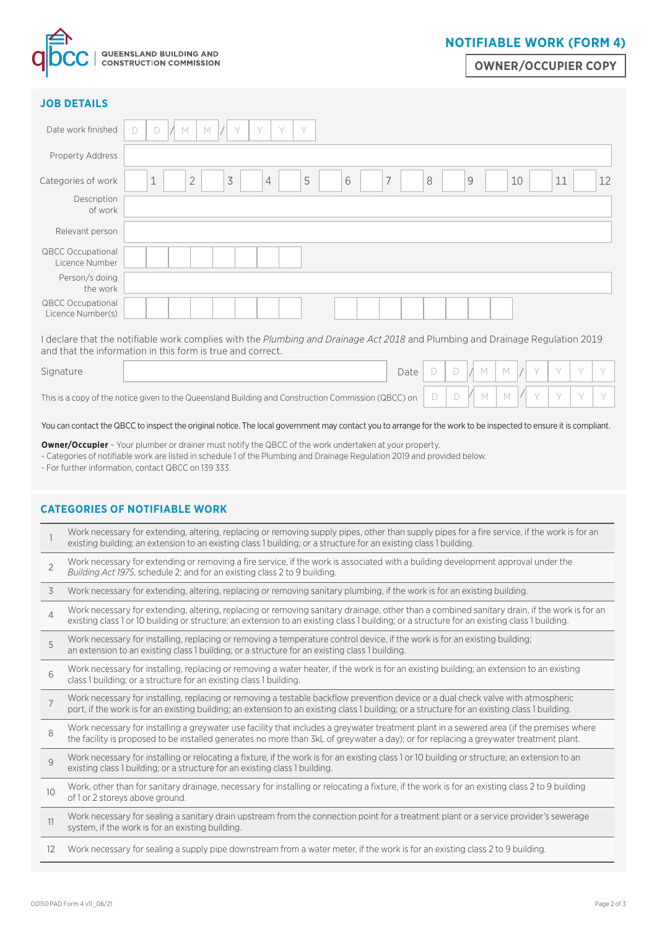

# **NOTIFIABLE WORK (FORM 4)**

**OWNER/OCCUPIER COPY**

| <b>JOB DETAILS</b>                                                                                                                     |                                                                                                                                                                                                                                                                                                   |  |  |  |  |
|----------------------------------------------------------------------------------------------------------------------------------------|---------------------------------------------------------------------------------------------------------------------------------------------------------------------------------------------------------------------------------------------------------------------------------------------------|--|--|--|--|
| Date work finished                                                                                                                     | Y<br>Y<br>M<br>M<br>Y<br>$\Box$<br>$\Box$                                                                                                                                                                                                                                                         |  |  |  |  |
| Property Address                                                                                                                       |                                                                                                                                                                                                                                                                                                   |  |  |  |  |
| Categories of work                                                                                                                     | 3<br>7<br>$\overline{2}$<br>5<br>6<br>8<br>9<br>1<br>4<br>10<br>11<br>12                                                                                                                                                                                                                          |  |  |  |  |
| Description<br>of work                                                                                                                 |                                                                                                                                                                                                                                                                                                   |  |  |  |  |
| Relevant person                                                                                                                        |                                                                                                                                                                                                                                                                                                   |  |  |  |  |
| <b>QBCC Occupational</b><br>Licence Number                                                                                             |                                                                                                                                                                                                                                                                                                   |  |  |  |  |
| Person/s doing<br>the work                                                                                                             |                                                                                                                                                                                                                                                                                                   |  |  |  |  |
| <b>QBCC Occupational</b><br>Licence Number(s)                                                                                          |                                                                                                                                                                                                                                                                                                   |  |  |  |  |
|                                                                                                                                        | I declare that the notifiable work complies with the Plumbing and Drainage Act 2018 and Plumbing and Drainage Regulation 2019<br>and that the information in this form is true and correct.                                                                                                       |  |  |  |  |
| Signature                                                                                                                              | Y<br>Y<br>Y<br>Date<br>D<br>D<br>M<br>M                                                                                                                                                                                                                                                           |  |  |  |  |
| Y<br>Y<br>Y<br>D<br>M<br>M<br>D<br>This is a copy of the notice given to the Queensland Building and Construction Commission (QBCC) on |                                                                                                                                                                                                                                                                                                   |  |  |  |  |
|                                                                                                                                        | You can contact the QBCC to inspect the original notice. The local government may contact you to arrange for the work to be inspected to ensure it is compliant.                                                                                                                                  |  |  |  |  |
|                                                                                                                                        | <b>Owner/Occupier</b> - Your plumber or drainer must notify the QBCC of the work undertaken at your property.<br>- Categories of notifiable work are listed in schedule 1 of the Plumbing and Drainage Regulation 2019 and provided below.<br>- For further information, contact QBCC on 139 333. |  |  |  |  |
|                                                                                                                                        | <b>CATEGORIES OF NOTIFIABLE WORK</b>                                                                                                                                                                                                                                                              |  |  |  |  |
|                                                                                                                                        | Work necessary for extending, altering, replacing or removing supply pipes, other than supply pipes for a fire service, if the work is for an<br>existing building; an extension to an existing class 1 building; or a structure for an existing class 1 building.                                |  |  |  |  |
|                                                                                                                                        | Work necessary for extending or removing a fire service, if the work is associated with a building development approval under the                                                                                                                                                                 |  |  |  |  |

|                | Work necessary for extending, altering, replacing or removing supply pipes, other than supply pipes for a fire service, if the work is for an<br>existing building; an extension to an existing class 1 building; or a structure for an existing class 1 building.                           |
|----------------|----------------------------------------------------------------------------------------------------------------------------------------------------------------------------------------------------------------------------------------------------------------------------------------------|
| $\overline{2}$ | Work necessary for extending or removing a fire service, if the work is associated with a building development approval under the<br>Building Act 1975, schedule 2; and for an existing class 2 to 9 building.                                                                               |
| 3              | Work necessary for extending, altering, replacing or removing sanitary plumbing, if the work is for an existing building.                                                                                                                                                                    |
| $\overline{4}$ | Work necessary for extending, altering, replacing or removing sanitary drainage, other than a combined sanitary drain, if the work is for an<br>existing class 1 or 10 building or structure; an extension to an existing class 1 building; or a structure for an existing class 1 building. |
| 5              | Work necessary for installing, replacing or removing a temperature control device, if the work is for an existing building;<br>an extension to an existing class 1 building; or a structure for an existing class 1 building.                                                                |
| 6              | Work necessary for installing, replacing or removing a water heater, if the work is for an existing building; an extension to an existing<br>class 1 building; or a structure for an existing class 1 building.                                                                              |
| $\overline{7}$ | Work necessary for installing, replacing or removing a testable backflow prevention device or a dual check valve with atmospheric<br>port, if the work is for an existing building; an extension to an existing class 1 building; or a structure for an existing class 1 building.           |
| 8              | Work necessary for installing a greywater use facility that includes a greywater treatment plant in a sewered area (if the premises where<br>the facility is proposed to be installed generates no more than 3kL of greywater a day); or for replacing a greywater treatment plant.          |
| 9              | Work necessary for installing or relocating a fixture, if the work is for an existing class 1 or 10 building or structure; an extension to an<br>existing class 1 building; or a structure for an existing class 1 building.                                                                 |
| 10             | Work, other than for sanitary drainage, necessary for installing or relocating a fixture, if the work is for an existing class 2 to 9 building<br>of 1 or 2 storeys above ground.                                                                                                            |
| 11             | Work necessary for sealing a sanitary drain upstream from the connection point for a treatment plant or a service provider's sewerage<br>system, if the work is for an existing building.                                                                                                    |
| 12             | Work necessary for sealing a supply pipe downstream from a water meter, if the work is for an existing class 2 to 9 building.                                                                                                                                                                |